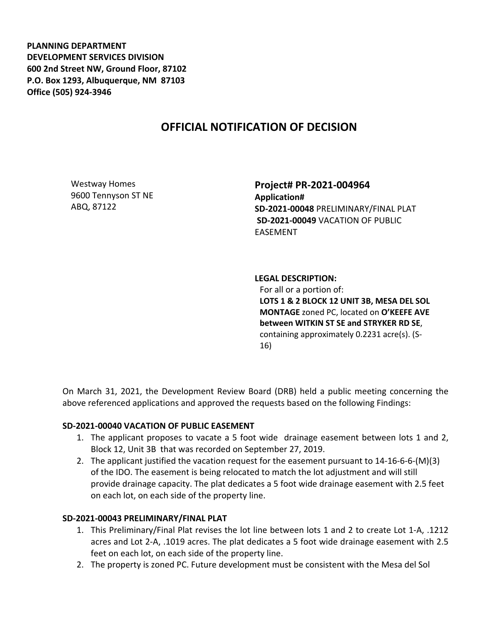**PLANNING DEPARTMENT DEVELOPMENT SERVICES DIVISION 600 2nd Street NW, Ground Floor, 87102 P.O. Box 1293, Albuquerque, NM 87103 Office (505) 924-3946** 

## **OFFICIAL NOTIFICATION OF DECISION**

Westway Homes 9600 Tennyson ST NE ABQ, 87122

**Project# PR-2021-004964 Application# SD-2021-00048** PRELIMINARY/FINAL PLAT **SD-2021-00049** VACATION OF PUBLIC EASEMENT

**LEGAL DESCRIPTION:**

For all or a portion of: **LOTS 1 & 2 BLOCK 12 UNIT 3B, MESA DEL SOL MONTAGE** zoned PC, located on **O'KEEFE AVE between WITKIN ST SE and STRYKER RD SE**, containing approximately 0.2231 acre(s). (S-16)

On March 31, 2021, the Development Review Board (DRB) held a public meeting concerning the above referenced applications and approved the requests based on the following Findings:

## **SD-2021-00040 VACATION OF PUBLIC EASEMENT**

- 1. The applicant proposes to vacate a 5 foot wide drainage easement between lots 1 and 2, Block 12, Unit 3B that was recorded on September 27, 2019.
- 2. The applicant justified the vacation request for the easement pursuant to 14-16-6-6-(M)(3) of the IDO. The easement is being relocated to match the lot adjustment and will still provide drainage capacity. The plat dedicates a 5 foot wide drainage easement with 2.5 feet on each lot, on each side of the property line.

## **SD-2021-00043 PRELIMINARY/FINAL PLAT**

- 1. This Preliminary/Final Plat revises the lot line between lots 1 and 2 to create Lot 1-A, .1212 acres and Lot 2-A, .1019 acres. The plat dedicates a 5 foot wide drainage easement with 2.5 feet on each lot, on each side of the property line.
- 2. The property is zoned PC. Future development must be consistent with the Mesa del Sol